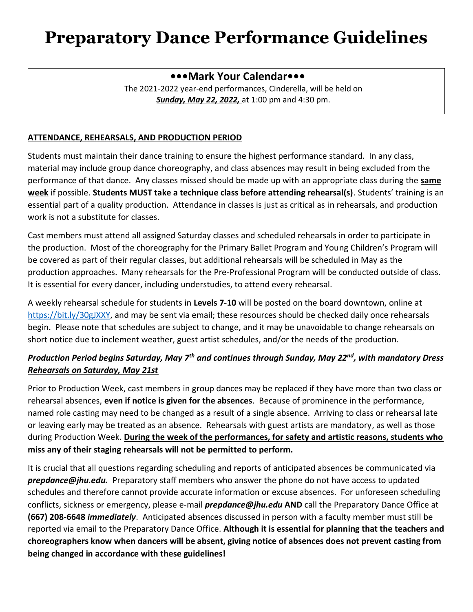## **Preparatory Dance Performance Guidelines**

### **•••Mark Your Calendar•••**

The 2021-2022 year-end performances, Cinderella, will be held on *Sunday, May 22, 2022,* at 1:00 pm and 4:30 pm.

#### **ATTENDANCE, REHEARSALS, AND PRODUCTION PERIOD**

Students must maintain their dance training to ensure the highest performance standard. In any class, material may include group dance choreography, and class absences may result in being excluded from the performance of that dance. Any classes missed should be made up with an appropriate class during the **same week** if possible. **Students MUST take a technique class before attending rehearsal(s)**. Students' training is an essential part of a quality production. Attendance in classes is just as critical as in rehearsals, and production work is not a substitute for classes.

Cast members must attend all assigned Saturday classes and scheduled rehearsals in order to participate in the production. Most of the choreography for the Primary Ballet Program and Young Children's Program will be covered as part of their regular classes, but additional rehearsals will be scheduled in May as the production approaches. Many rehearsals for the Pre-Professional Program will be conducted outside of class. It is essential for every dancer, including understudies, to attend every rehearsal.

A weekly rehearsal schedule for students in **Levels 7-10** will be posted on the board downtown, online at [https://bit.ly/30gJXXY,](https://bit.ly/30gJXXY) and may be sent via email; these resources should be checked daily once rehearsals begin. Please note that schedules are subject to change, and it may be unavoidable to change rehearsals on short notice due to inclement weather, guest artist schedules, and/or the needs of the production.

### *Production Period begins Saturday, May 7th and continues through Sunday, May 22nd, with mandatory Dress Rehearsals on Saturday, May 21st*

Prior to Production Week, cast members in group dances may be replaced if they have more than two class or rehearsal absences, **even if notice is given for the absences**. Because of prominence in the performance, named role casting may need to be changed as a result of a single absence. Arriving to class or rehearsal late or leaving early may be treated as an absence. Rehearsals with guest artists are mandatory, as well as those during Production Week. **During the week of the performances, for safety and artistic reasons, students who miss any of their staging rehearsals will not be permitted to perform.** 

It is crucial that all questions regarding scheduling and reports of anticipated absences be communicated via *prepdance@jhu.edu.* Preparatory staff members who answer the phone do not have access to updated schedules and therefore cannot provide accurate information or excuse absences. For unforeseen scheduling conflicts, sickness or emergency, please e-mail *prepdance@jhu.edu* **AND** call the Preparatory Dance Office at **(667) 208-6648** *immediately*. Anticipated absences discussed in person with a faculty member must still be reported via email to the Preparatory Dance Office. **Although it is essential for planning that the teachers and choreographers know when dancers will be absent, giving notice of absences does not prevent casting from being changed in accordance with these guidelines!**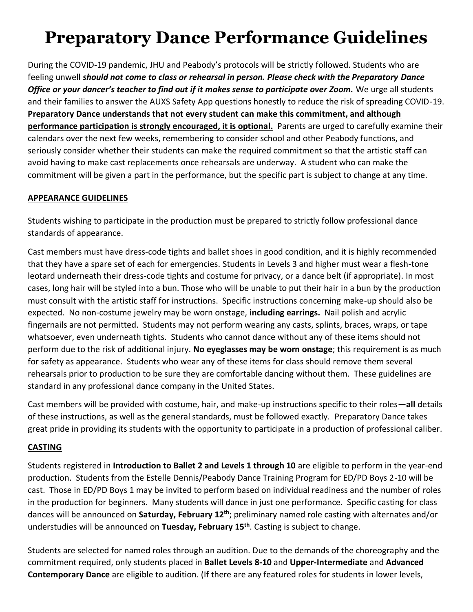# **Preparatory Dance Performance Guidelines**

During the COVID-19 pandemic, JHU and Peabody's protocols will be strictly followed. Students who are feeling unwell *should not come to class or rehearsal in person. Please check with the Preparatory Dance Office or your dancer's teacher to find out if it makes sense to participate over Zoom.* We urge all students and their families to answer the AUXS Safety App questions honestly to reduce the risk of spreading COVID-19. **Preparatory Dance understands that not every student can make this commitment, and although performance participation is strongly encouraged, it is optional.** Parents are urged to carefully examine their calendars over the next few weeks, remembering to consider school and other Peabody functions, and seriously consider whether their students can make the required commitment so that the artistic staff can avoid having to make cast replacements once rehearsals are underway. A student who can make the commitment will be given a part in the performance, but the specific part is subject to change at any time.

#### **APPEARANCE GUIDELINES**

Students wishing to participate in the production must be prepared to strictly follow professional dance standards of appearance.

Cast members must have dress-code tights and ballet shoes in good condition, and it is highly recommended that they have a spare set of each for emergencies. Students in Levels 3 and higher must wear a flesh-tone leotard underneath their dress-code tights and costume for privacy, or a dance belt (if appropriate). In most cases, long hair will be styled into a bun. Those who will be unable to put their hair in a bun by the production must consult with the artistic staff for instructions. Specific instructions concerning make-up should also be expected. No non-costume jewelry may be worn onstage, **including earrings.** Nail polish and acrylic fingernails are not permitted. Students may not perform wearing any casts, splints, braces, wraps, or tape whatsoever, even underneath tights. Students who cannot dance without any of these items should not perform due to the risk of additional injury. **No eyeglasses may be worn onstage**; this requirement is as much for safety as appearance. Students who wear any of these items for class should remove them several rehearsals prior to production to be sure they are comfortable dancing without them. These guidelines are standard in any professional dance company in the United States.

Cast members will be provided with costume, hair, and make-up instructions specific to their roles—**all** details of these instructions, as well as the general standards, must be followed exactly. Preparatory Dance takes great pride in providing its students with the opportunity to participate in a production of professional caliber.

#### **CASTING**

Students registered in **Introduction to Ballet 2 and Levels 1 through 10** are eligible to perform in the year-end production. Students from the Estelle Dennis/Peabody Dance Training Program for ED/PD Boys 2-10 will be cast. Those in ED/PD Boys 1 may be invited to perform based on individual readiness and the number of roles in the production for beginners. Many students will dance in just one performance. Specific casting for class dances will be announced on **Saturday, February 12th**; preliminary named role casting with alternates and/or understudies will be announced on **Tuesday, February 15th**. Casting is subject to change.

Students are selected for named roles through an audition. Due to the demands of the choreography and the commitment required, only students placed in **Ballet Levels 8-10** and **Upper-Intermediate** and **Advanced Contemporary Dance** are eligible to audition. (If there are any featured roles for students in lower levels,